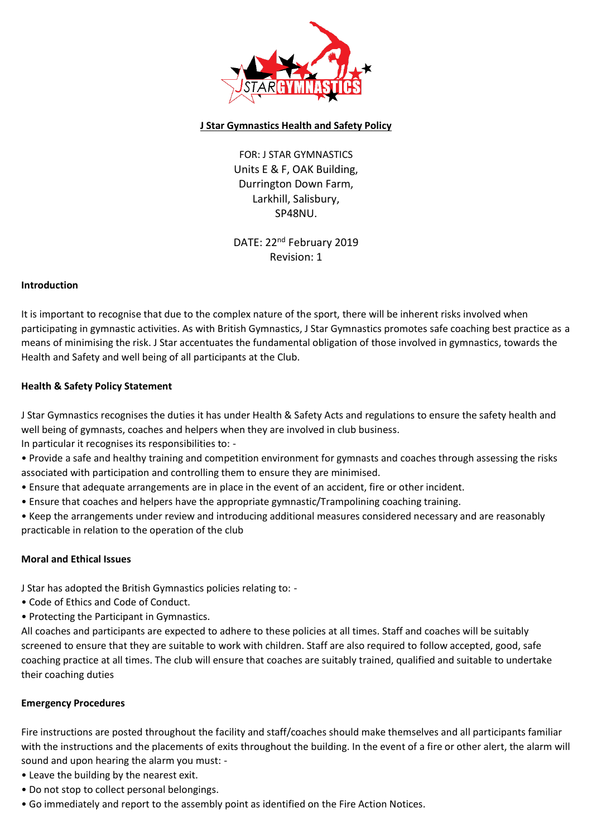

# **J Star Gymnastics Health and Safety Policy**

FOR: J STAR GYMNASTICS Units E & F, OAK Building, Durrington Down Farm, Larkhill, Salisbury, SP48NU.

DATE: 22<sup>nd</sup> February 2019 Revision: 1

#### **Introduction**

It is important to recognise that due to the complex nature of the sport, there will be inherent risks involved when participating in gymnastic activities. As with British Gymnastics, J Star Gymnastics promotes safe coaching best practice as a means of minimising the risk. J Star accentuates the fundamental obligation of those involved in gymnastics, towards the Health and Safety and well being of all participants at the Club.

#### **Health & Safety Policy Statement**

J Star Gymnastics recognises the duties it has under Health & Safety Acts and regulations to ensure the safety health and well being of gymnasts, coaches and helpers when they are involved in club business. In particular it recognises its responsibilities to: -

• Provide a safe and healthy training and competition environment for gymnasts and coaches through assessing the risks associated with participation and controlling them to ensure they are minimised.

- Ensure that adequate arrangements are in place in the event of an accident, fire or other incident.
- Ensure that coaches and helpers have the appropriate gymnastic/Trampolining coaching training.

• Keep the arrangements under review and introducing additional measures considered necessary and are reasonably practicable in relation to the operation of the club

#### **Moral and Ethical Issues**

J Star has adopted the British Gymnastics policies relating to: -

- Code of Ethics and Code of Conduct.
- Protecting the Participant in Gymnastics.

All coaches and participants are expected to adhere to these policies at all times. Staff and coaches will be suitably screened to ensure that they are suitable to work with children. Staff are also required to follow accepted, good, safe coaching practice at all times. The club will ensure that coaches are suitably trained, qualified and suitable to undertake their coaching duties

# **Emergency Procedures**

Fire instructions are posted throughout the facility and staff/coaches should make themselves and all participants familiar with the instructions and the placements of exits throughout the building. In the event of a fire or other alert, the alarm will sound and upon hearing the alarm you must: -

- Leave the building by the nearest exit.
- Do not stop to collect personal belongings.
- Go immediately and report to the assembly point as identified on the Fire Action Notices.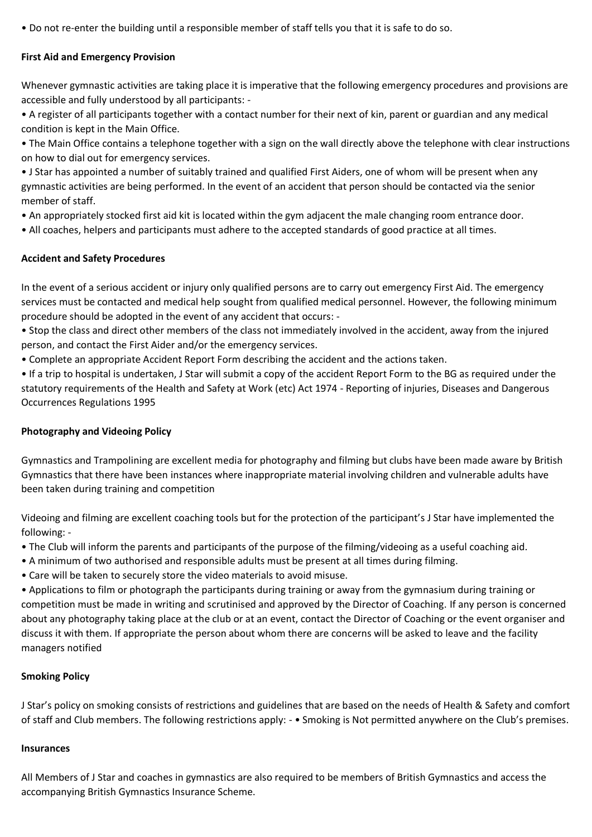• Do not re-enter the building until a responsible member of staff tells you that it is safe to do so.

# **First Aid and Emergency Provision**

Whenever gymnastic activities are taking place it is imperative that the following emergency procedures and provisions are accessible and fully understood by all participants: -

• A register of all participants together with a contact number for their next of kin, parent or guardian and any medical condition is kept in the Main Office.

• The Main Office contains a telephone together with a sign on the wall directly above the telephone with clear instructions on how to dial out for emergency services.

• J Star has appointed a number of suitably trained and qualified First Aiders, one of whom will be present when any gymnastic activities are being performed. In the event of an accident that person should be contacted via the senior member of staff.

• An appropriately stocked first aid kit is located within the gym adjacent the male changing room entrance door.

• All coaches, helpers and participants must adhere to the accepted standards of good practice at all times.

# **Accident and Safety Procedures**

In the event of a serious accident or injury only qualified persons are to carry out emergency First Aid. The emergency services must be contacted and medical help sought from qualified medical personnel. However, the following minimum procedure should be adopted in the event of any accident that occurs: -

• Stop the class and direct other members of the class not immediately involved in the accident, away from the injured person, and contact the First Aider and/or the emergency services.

• Complete an appropriate Accident Report Form describing the accident and the actions taken.

• If a trip to hospital is undertaken, J Star will submit a copy of the accident Report Form to the BG as required under the statutory requirements of the Health and Safety at Work (etc) Act 1974 - Reporting of injuries, Diseases and Dangerous Occurrences Regulations 1995

# **Photography and Videoing Policy**

Gymnastics and Trampolining are excellent media for photography and filming but clubs have been made aware by British Gymnastics that there have been instances where inappropriate material involving children and vulnerable adults have been taken during training and competition

Videoing and filming are excellent coaching tools but for the protection of the participant's J Star have implemented the following: -

• The Club will inform the parents and participants of the purpose of the filming/videoing as a useful coaching aid.

- A minimum of two authorised and responsible adults must be present at all times during filming.
- Care will be taken to securely store the video materials to avoid misuse.

• Applications to film or photograph the participants during training or away from the gymnasium during training or competition must be made in writing and scrutinised and approved by the Director of Coaching. If any person is concerned about any photography taking place at the club or at an event, contact the Director of Coaching or the event organiser and discuss it with them. If appropriate the person about whom there are concerns will be asked to leave and the facility managers notified

# **Smoking Policy**

J Star's policy on smoking consists of restrictions and guidelines that are based on the needs of Health & Safety and comfort of staff and Club members. The following restrictions apply: - • Smoking is Not permitted anywhere on the Club's premises.

#### **Insurances**

All Members of J Star and coaches in gymnastics are also required to be members of British Gymnastics and access the accompanying British Gymnastics Insurance Scheme.